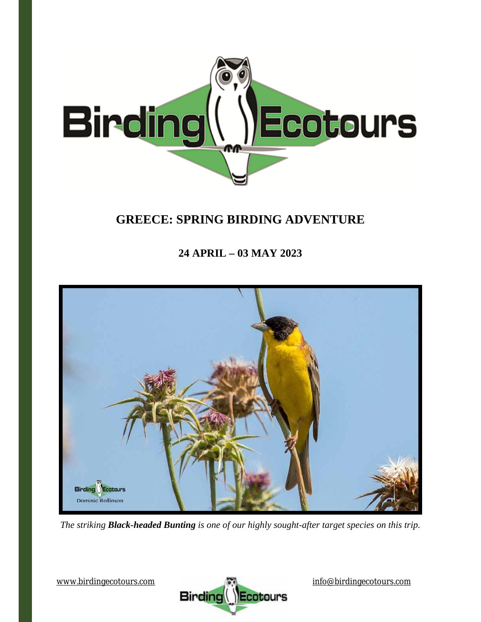

# **GREECE: SPRING BIRDING ADVENTURE**

## **24 APRIL – 03 MAY 2023**



*The striking Black-headed Bunting is one of our highly sought-after target species on this trip.* 

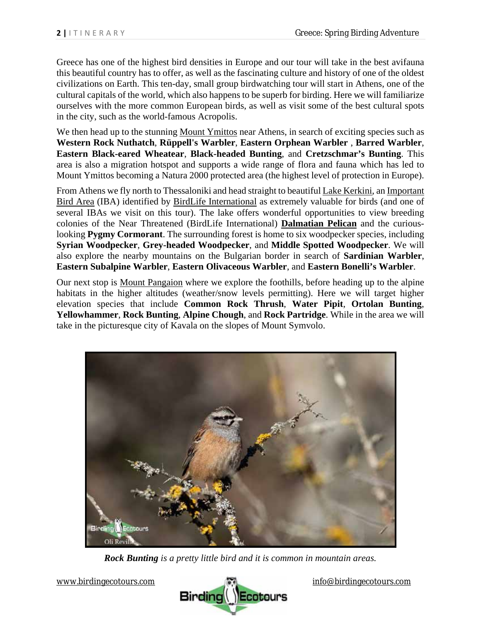Greece has one of the highest bird densities in Europe and our tour will take in the best avifauna this beautiful country has to offer, as well as the fascinating culture and history of one of the oldest civilizations on Earth. This ten-day, small group birdwatching tour will start in Athens, one of the cultural capitals of the world, which also happens to be superb for birding. Here we will familiarize ourselves with the more common European birds, as well as visit some of the best cultural spots in the city, such as the world-famous Acropolis.

We then head up to the stunning Mount Ymittos near Athens, in search of exciting species such as **Western Rock Nuthatch**, **Rüppell's Warbler**, **Eastern Orphean Warbler** , **Barred Warbler**, **Eastern Black-eared Wheatear**, **Black-headed Bunting**, and **Cretzschmar's Bunting**. This area is also a migration hotspot and supports a wide range of flora and fauna which has led to Mount Ymittos becoming a Natura 2000 protected area (the highest level of protection in Europe).

From Athens we fly north to Thessaloniki and head straight to beautiful Lake Kerkini, an Important Bird Area (IBA) identified by BirdLife International as extremely valuable for birds (and one of several IBAs we visit on this tour). The lake offers wonderful opportunities to view breeding colonies of the Near Threatened (BirdLife International) **Dalmatian Pelican** and the curiouslooking **Pygmy Cormorant**. The surrounding forest is home to six woodpecker species, including **Syrian Woodpecker**, **Grey-headed Woodpecker**, and **Middle Spotted Woodpecker**. We will also explore the nearby mountains on the Bulgarian border in search of **Sardinian Warbler**, **Eastern Subalpine Warbler**, **Eastern Olivaceous Warbler**, and **Eastern Bonelli's Warbler**.

Our next stop is Mount Pangaion where we explore the foothills, before heading up to the alpine habitats in the higher altitudes (weather/snow levels permitting). Here we will target higher elevation species that include **Common Rock Thrush**, **Water Pipit**, **Ortolan Bunting**, **Yellowhammer**, **Rock Bunting**, **Alpine Chough**, and **Rock Partridge**. While in the area we will take in the picturesque city of Kavala on the slopes of Mount Symvolo.



*Rock Bunting is a pretty little bird and it is common in mountain areas.*

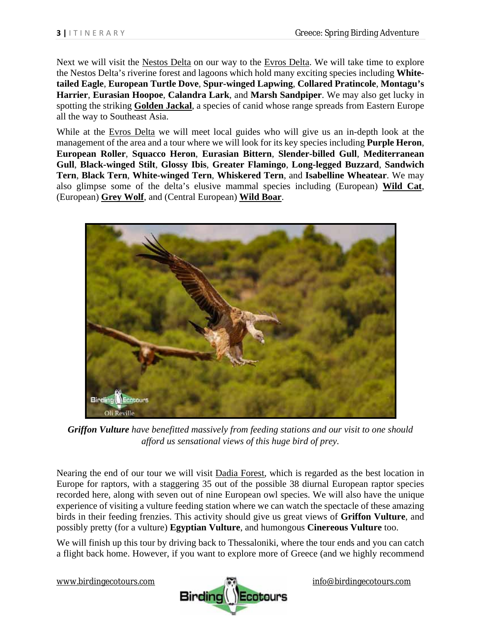Next we will visit the Nestos Delta on our way to the Evros Delta. We will take time to explore the Nestos Delta's riverine forest and lagoons which hold many exciting species including **Whitetailed Eagle**, **European Turtle Dove**, **Spur-winged Lapwing**, **Collared Pratincole**, **Montagu's Harrier**, **Eurasian Hoopoe**, **Calandra Lark**, and **Marsh Sandpiper**. We may also get lucky in spotting the striking **Golden Jackal**, a species of canid whose range spreads from Eastern Europe all the way to Southeast Asia.

While at the Evros Delta we will meet local guides who will give us an in-depth look at the management of the area and a tour where we will look for its key species including **Purple Heron**, **European Roller**, **Squacco Heron**, **Eurasian Bittern**, **Slender-billed Gull**, **Mediterranean Gull**, **Black-winged Stilt**, **Glossy Ibis**, **Greater Flamingo**, **Long-legged Buzzard**, **Sandwich Tern**, **Black Tern**, **White-winged Tern**, **Whiskered Tern**, and **Isabelline Wheatear**. We may also glimpse some of the delta's elusive mammal species including (European) **Wild Cat**, (European) **Grey Wolf**, and (Central European) **Wild Boar**.



*Griffon Vulture have benefitted massively from feeding stations and our visit to one should afford us sensational views of this huge bird of prey.* 

Nearing the end of our tour we will visit Dadia Forest, which is regarded as the best location in Europe for raptors, with a staggering 35 out of the possible 38 diurnal European raptor species recorded here, along with seven out of nine European owl species. We will also have the unique experience of visiting a vulture feeding station where we can watch the spectacle of these amazing birds in their feeding frenzies. This activity should give us great views of **Griffon Vulture**, and possibly pretty (for a vulture) **Egyptian Vulture**, and humongous **Cinereous Vulture** too.

We will finish up this tour by driving back to Thessaloniki, where the tour ends and you can catch a flight back home. However, if you want to explore more of Greece (and we highly recommend

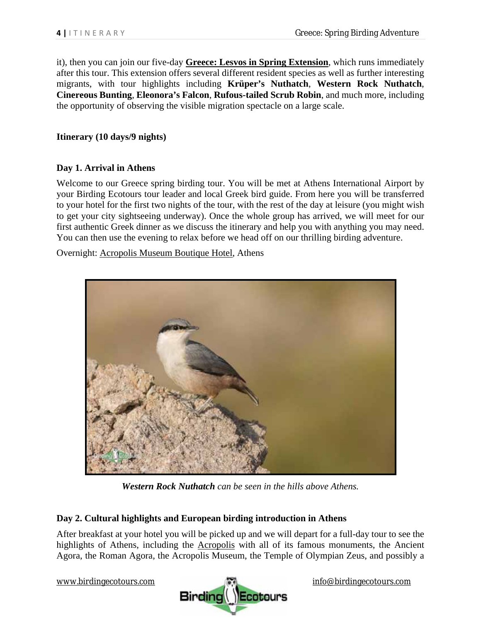it), then you can join our five-day **Greece: Lesvos in Spring Extension**, which runs immediately after this tour. This extension offers several different resident species as well as further interesting migrants, with tour highlights including **Krüper's Nuthatch**, **Western Rock Nuthatch**, **Cinereous Bunting**, **Eleonora's Falcon**, **Rufous-tailed Scrub Robin**, and much more, including the opportunity of observing the visible migration spectacle on a large scale.

#### **Itinerary (10 days/9 nights)**

#### **Day 1. Arrival in Athens**

Welcome to our Greece spring birding tour. You will be met at Athens International Airport by your Birding Ecotours tour leader and local Greek bird guide. From here you will be transferred to your hotel for the first two nights of the tour, with the rest of the day at leisure (you might wish to get your city sightseeing underway). Once the whole group has arrived, we will meet for our first authentic Greek dinner as we discuss the itinerary and help you with anything you may need. You can then use the evening to relax before we head off on our thrilling birding adventure.

Overnight: Acropolis Museum Boutique Hotel, Athens



*Western Rock Nuthatch can be seen in the hills above Athens.*

## **Day 2. Cultural highlights and European birding introduction in Athens**

After breakfast at your hotel you will be picked up and we will depart for a full-day tour to see the highlights of Athens, including the Acropolis with all of its famous monuments, the Ancient Agora, the Roman Agora, the Acropolis Museum, the Temple of Olympian Zeus, and possibly a

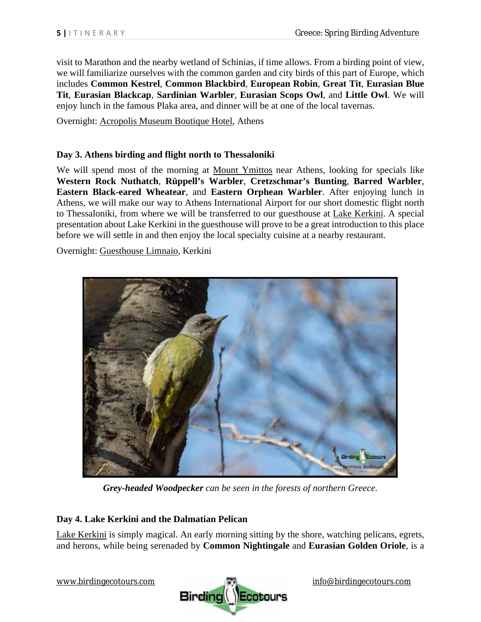visit to Marathon and the nearby wetland of Schinias, if time allows. From a birding point of view, we will familiarize ourselves with the common garden and city birds of this part of Europe, which includes **Common Kestrel**, **Common Blackbird**, **European Robin**, **Great Tit**, **Eurasian Blue Tit**, **Eurasian Blackcap**, **Sardinian Warbler**, **Eurasian Scops Owl**, and **Little Owl**. We will enjoy lunch in the famous Plaka area, and dinner will be at one of the local tavernas.

Overnight: Acropolis Museum Boutique Hotel, Athens

#### **Day 3. Athens birding and flight north to Thessaloniki**

We will spend most of the morning at Mount Ymittos near Athens, looking for specials like **Western Rock Nuthatch**, **Rüppell's Warbler**, **Cretzschmar's Bunting**, **Barred Warbler**, **Eastern Black-eared Wheatear**, and **Eastern Orphean Warbler**. After enjoying lunch in Athens, we will make our way to Athens International Airport for our short domestic flight north to Thessaloniki, from where we will be transferred to our guesthouse at Lake Kerkini. A special presentation about Lake Kerkini in the guesthouse will prove to be a great introduction to this place before we will settle in and then enjoy the local specialty cuisine at a nearby restaurant.

Overnight: Guesthouse Limnaio, Kerkini



*Grey-headed Woodpecker can be seen in the forests of northern Greece.* 

## **Day 4. Lake Kerkini and the Dalmatian Pelican**

Lake Kerkini is simply magical. An early morning sitting by the shore, watching pelicans, egrets, and herons, while being serenaded by **Common Nightingale** and **Eurasian Golden Oriole**, is a

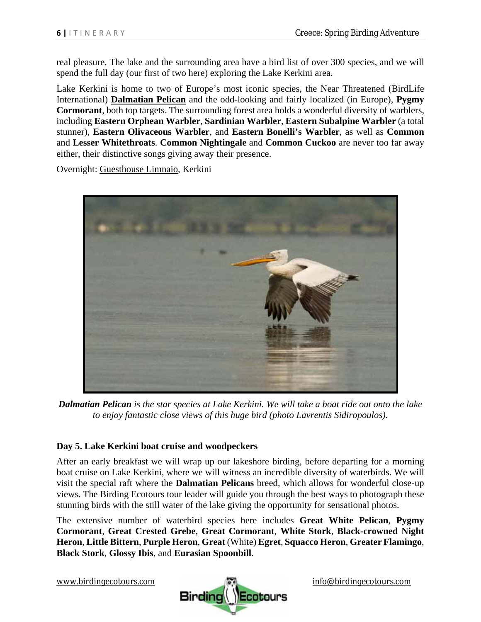real pleasure. The lake and the surrounding area have a bird list of over 300 species, and we will spend the full day (our first of two here) exploring the Lake Kerkini area.

Lake Kerkini is home to two of Europe's most iconic species, the Near Threatened (BirdLife International) **Dalmatian Pelican** and the odd-looking and fairly localized (in Europe), **Pygmy Cormorant**, both top targets. The surrounding forest area holds a wonderful diversity of warblers, including **Eastern Orphean Warbler**, **Sardinian Warbler**, **Eastern Subalpine Warbler** (a total stunner), **Eastern Olivaceous Warbler**, and **Eastern Bonelli's Warbler**, as well as **Common**  and **Lesser Whitethroats**. **Common Nightingale** and **Common Cuckoo** are never too far away either, their distinctive songs giving away their presence.

Overnight: Guesthouse Limnaio, Kerkini



*Dalmatian Pelican is the star species at Lake Kerkini. We will take a boat ride out onto the lake to enjoy fantastic close views of this huge bird (photo Lavrentis Sidiropoulos).* 

## **Day 5. Lake Kerkini boat cruise and woodpeckers**

After an early breakfast we will wrap up our lakeshore birding, before departing for a morning boat cruise on Lake Kerkini, where we will witness an incredible diversity of waterbirds. We will visit the special raft where the **Dalmatian Pelicans** breed, which allows for wonderful close-up views. The Birding Ecotours tour leader will guide you through the best ways to photograph these stunning birds with the still water of the lake giving the opportunity for sensational photos.

The extensive number of waterbird species here includes **Great White Pelican**, **Pygmy Cormorant**, **Great Crested Grebe**, **Great Cormorant**, **White Stork**, **Black-crowned Night Heron**, **Little Bittern**, **Purple Heron**, **Great** (White) **Egret**, **Squacco Heron**, **Greater Flamingo**, **Black Stork**, **Glossy Ibis**, and **Eurasian Spoonbill**.

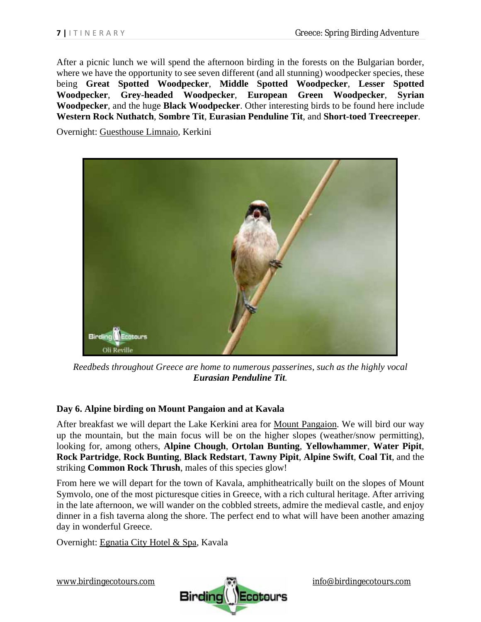After a picnic lunch we will spend the afternoon birding in the forests on the Bulgarian border, where we have the opportunity to see seven different (and all stunning) woodpecker species, these being **Great Spotted Woodpecker**, **Middle Spotted Woodpecker**, **Lesser Spotted Woodpecker**, **Grey-headed Woodpecker**, **European Green Woodpecker**, **Syrian Woodpecker**, and the huge **Black Woodpecker**. Other interesting birds to be found here include **Western Rock Nuthatch**, **Sombre Tit**, **Eurasian Penduline Tit**, and **Short-toed Treecreeper**.

Overnight: Guesthouse Limnaio, Kerkini



*Reedbeds throughout Greece are home to numerous passerines, such as the highly vocal Eurasian Penduline Tit.* 

## **Day 6. Alpine birding on Mount Pangaion and at Kavala**

After breakfast we will depart the Lake Kerkini area for Mount Pangaion. We will bird our way up the mountain, but the main focus will be on the higher slopes (weather/snow permitting), looking for, among others, **Alpine Chough**, **Ortolan Bunting**, **Yellowhammer**, **Water Pipit**, **Rock Partridge**, **Rock Bunting**, **Black Redstart**, **Tawny Pipit**, **Alpine Swift**, **Coal Tit**, and the striking **Common Rock Thrush**, males of this species glow!

From here we will depart for the town of Kavala, amphitheatrically built on the slopes of Mount Symvolo, one of the most picturesque cities in Greece, with a rich cultural heritage. After arriving in the late afternoon, we will wander on the cobbled streets, admire the medieval castle, and enjoy dinner in a fish taverna along the shore. The perfect end to what will have been another amazing day in wonderful Greece.

Overnight: Egnatia City Hotel & Spa, Kavala

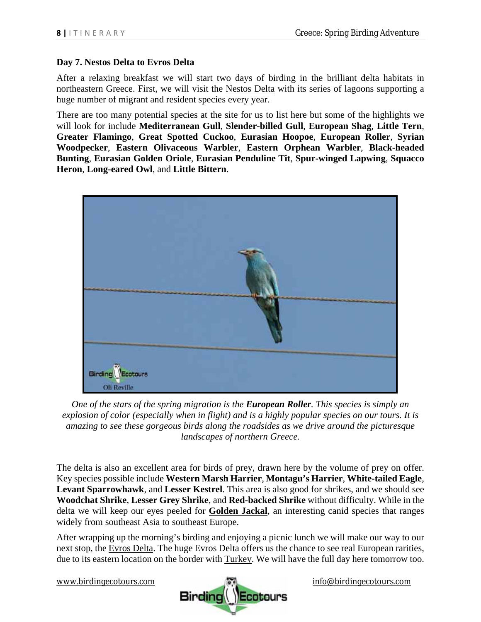## **Day 7. Nestos Delta to Evros Delta**

After a relaxing breakfast we will start two days of birding in the brilliant delta habitats in northeastern Greece. First, we will visit the Nestos Delta with its series of lagoons supporting a huge number of migrant and resident species every year.

There are too many potential species at the site for us to list here but some of the highlights we will look for include **Mediterranean Gull**, **Slender-billed Gull**, **European Shag**, **Little Tern**, **Greater Flamingo**, **Great Spotted Cuckoo**, **Eurasian Hoopoe**, **European Roller**, **Syrian Woodpecker**, **Eastern Olivaceous Warbler**, **Eastern Orphean Warbler**, **Black-headed Bunting**, **Eurasian Golden Oriole**, **Eurasian Penduline Tit**, **Spur-winged Lapwing**, **Squacco Heron**, **Long-eared Owl**, and **Little Bittern**.



*One of the stars of the spring migration is the European Roller. This species is simply an explosion of color (especially when in flight) and is a highly popular species on our tours. It is amazing to see these gorgeous birds along the roadsides as we drive around the picturesque landscapes of northern Greece.* 

The delta is also an excellent area for birds of prey, drawn here by the volume of prey on offer. Key species possible include **Western Marsh Harrier**, **Montagu's Harrier**, **White-tailed Eagle**, **Levant Sparrowhawk**, and **Lesser Kestrel**. This area is also good for shrikes, and we should see **Woodchat Shrike**, **Lesser Grey Shrike**, and **Red-backed Shrike** without difficulty. While in the delta we will keep our eyes peeled for **Golden Jackal**, an interesting canid species that ranges widely from southeast Asia to southeast Europe.

After wrapping up the morning's birding and enjoying a picnic lunch we will make our way to our next stop, the Evros Delta. The huge Evros Delta offers us the chance to see real European rarities, due to its eastern location on the border with Turkey. We will have the full day here tomorrow too.

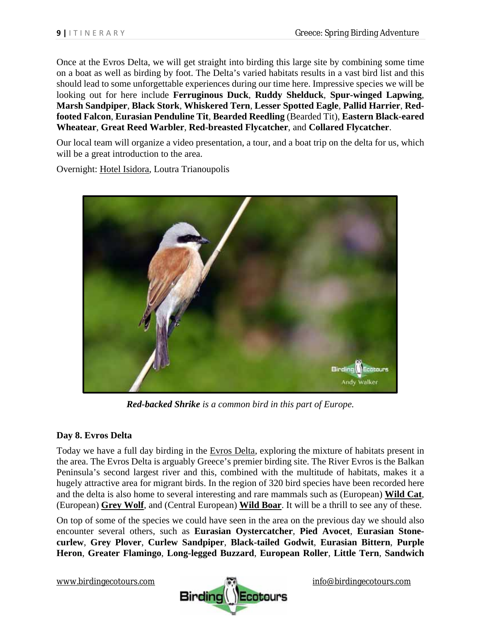Once at the Evros Delta, we will get straight into birding this large site by combining some time on a boat as well as birding by foot. The Delta's varied habitats results in a vast bird list and this should lead to some unforgettable experiences during our time here. Impressive species we will be looking out for here include **Ferruginous Duck**, **Ruddy Shelduck**, **Spur-winged Lapwing**, **Marsh Sandpiper**, **Black Stork**, **Whiskered Tern**, **Lesser Spotted Eagle**, **Pallid Harrier**, **Redfooted Falcon**, **Eurasian Penduline Tit**, **Bearded Reedling** (Bearded Tit), **Eastern Black-eared Wheatear**, **Great Reed Warbler**, **Red-breasted Flycatcher**, and **Collared Flycatcher**.

Our local team will organize a video presentation, a tour, and a boat trip on the delta for us, which will be a great introduction to the area.

Overnight: Hotel Isidora, Loutra Trianoupolis



*Red-backed Shrike is a common bird in this part of Europe.* 

## **Day 8. Evros Delta**

Today we have a full day birding in the Evros Delta, exploring the mixture of habitats present in the area. The Evros Delta is arguably Greece's premier birding site. The River Evros is the Balkan Peninsula's second largest river and this, combined with the multitude of habitats, makes it a hugely attractive area for migrant birds. In the region of 320 bird species have been recorded here and the delta is also home to several interesting and rare mammals such as (European) **Wild Cat**, (European) **Grey Wolf**, and (Central European) **Wild Boar**. It will be a thrill to see any of these.

On top of some of the species we could have seen in the area on the previous day we should also encounter several others, such as **Eurasian Oystercatcher**, **Pied Avocet**, **Eurasian Stonecurlew**, **Grey Plover**, **Curlew Sandpiper**, **Black-tailed Godwit**, **Eurasian Bittern**, **Purple Heron**, **Greater Flamingo**, **Long-legged Buzzard**, **European Roller**, **Little Tern**, **Sandwich** 

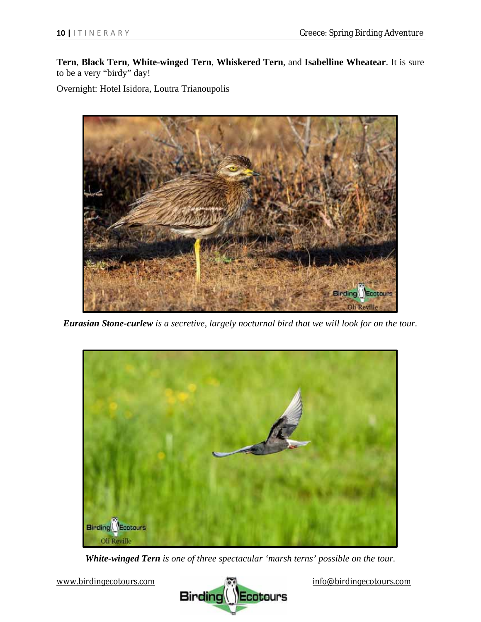**Tern**, **Black Tern**, **White-winged Tern**, **Whiskered Tern**, and **Isabelline Wheatear**. It is sure to be a very "birdy" day!

Overnight: Hotel Isidora, Loutra Trianoupolis



*Eurasian Stone-curlew is a secretive, largely nocturnal bird that we will look for on the tour.* 



*White-winged Tern is one of three spectacular 'marsh terns' possible on the tour.* 

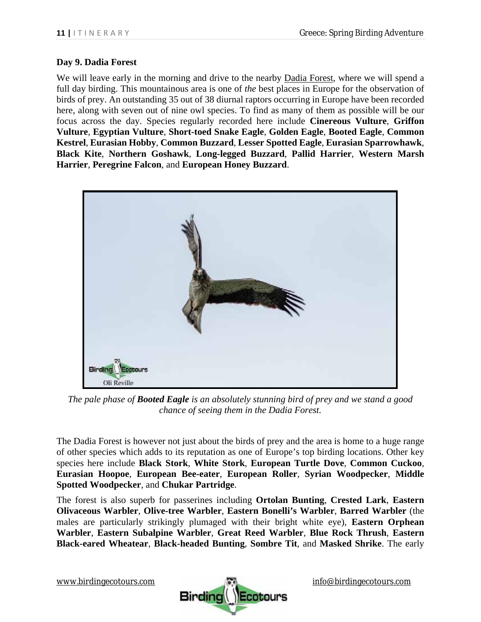#### **Day 9. Dadia Forest**

We will leave early in the morning and drive to the nearby Dadia Forest, where we will spend a full day birding. This mountainous area is one of *the* best places in Europe for the observation of birds of prey. An outstanding 35 out of 38 diurnal raptors occurring in Europe have been recorded here, along with seven out of nine owl species. To find as many of them as possible will be our focus across the day. Species regularly recorded here include **Cinereous Vulture**, **Griffon Vulture**, **Egyptian Vulture**, **Short-toed Snake Eagle**, **Golden Eagle**, **Booted Eagle**, **Common Kestrel**, **Eurasian Hobby**, **Common Buzzard**, **Lesser Spotted Eagle**, **Eurasian Sparrowhawk**, **Black Kite**, **Northern Goshawk**, **Long-legged Buzzard**, **Pallid Harrier**, **Western Marsh Harrier**, **Peregrine Falcon**, and **European Honey Buzzard**.



*The pale phase of Booted Eagle is an absolutely stunning bird of prey and we stand a good chance of seeing them in the Dadia Forest.* 

The Dadia Forest is however not just about the birds of prey and the area is home to a huge range of other species which adds to its reputation as one of Europe's top birding locations. Other key species here include **Black Stork**, **White Stork**, **European Turtle Dove**, **Common Cuckoo**, **Eurasian Hoopoe**, **European Bee-eater**, **European Roller**, **Syrian Woodpecker**, **Middle Spotted Woodpecker**, and **Chukar Partridge**.

The forest is also superb for passerines including **Ortolan Bunting**, **Crested Lark**, **Eastern Olivaceous Warbler**, **Olive-tree Warbler**, **Eastern Bonelli's Warbler**, **Barred Warbler** (the males are particularly strikingly plumaged with their bright white eye), **Eastern Orphean Warbler**, **Eastern Subalpine Warbler**, **Great Reed Warbler**, **Blue Rock Thrush**, **Eastern Black-eared Wheatear**, **Black-headed Bunting**, **Sombre Tit**, and **Masked Shrike**. The early

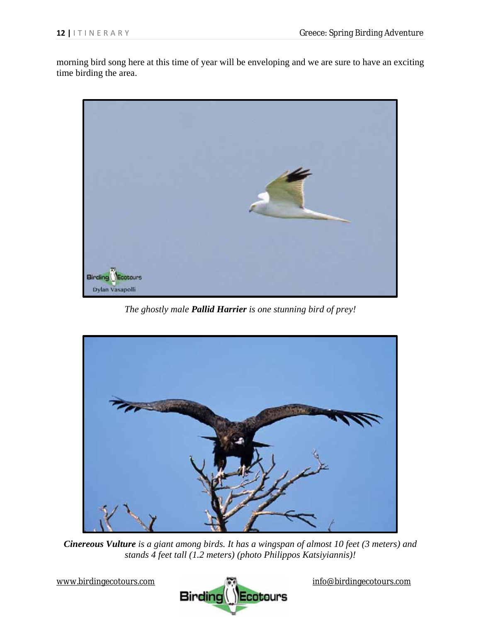morning bird song here at this time of year will be enveloping and we are sure to have an exciting time birding the area.



*The ghostly male Pallid Harrier is one stunning bird of prey!* 



*Cinereous Vulture is a giant among birds. It has a wingspan of almost 10 feet (3 meters) and stands 4 feet tall (1.2 meters) (photo Philippos Katsiyiannis)!* 

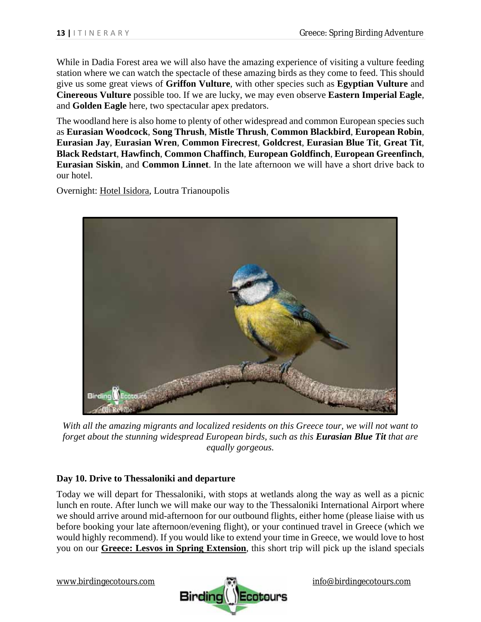While in Dadia Forest area we will also have the amazing experience of visiting a vulture feeding station where we can watch the spectacle of these amazing birds as they come to feed. This should give us some great views of **Griffon Vulture**, with other species such as **Egyptian Vulture** and **Cinereous Vulture** possible too. If we are lucky, we may even observe **Eastern Imperial Eagle**, and **Golden Eagle** here, two spectacular apex predators.

The woodland here is also home to plenty of other widespread and common European species such as **Eurasian Woodcock**, **Song Thrush**, **Mistle Thrush**, **Common Blackbird**, **European Robin**, **Eurasian Jay**, **Eurasian Wren**, **Common Firecrest**, **Goldcrest**, **Eurasian Blue Tit**, **Great Tit**, **Black Redstart**, **Hawfinch**, **Common Chaffinch**, **European Goldfinch**, **European Greenfinch**, **Eurasian Siskin**, and **Common Linnet**. In the late afternoon we will have a short drive back to our hotel.

Overnight: Hotel Isidora, Loutra Trianoupolis



*With all the amazing migrants and localized residents on this Greece tour, we will not want to forget about the stunning widespread European birds, such as this Eurasian Blue Tit that are equally gorgeous.* 

## **Day 10. Drive to Thessaloniki and departure**

Today we will depart for Thessaloniki, with stops at wetlands along the way as well as a picnic lunch en route. After lunch we will make our way to the Thessaloniki International Airport where we should arrive around mid-afternoon for our outbound flights, either home (please liaise with us before booking your late afternoon/evening flight), or your continued travel in Greece (which we would highly recommend). If you would like to extend your time in Greece, we would love to host you on our **Greece: Lesvos in Spring Extension**, this short trip will pick up the island specials

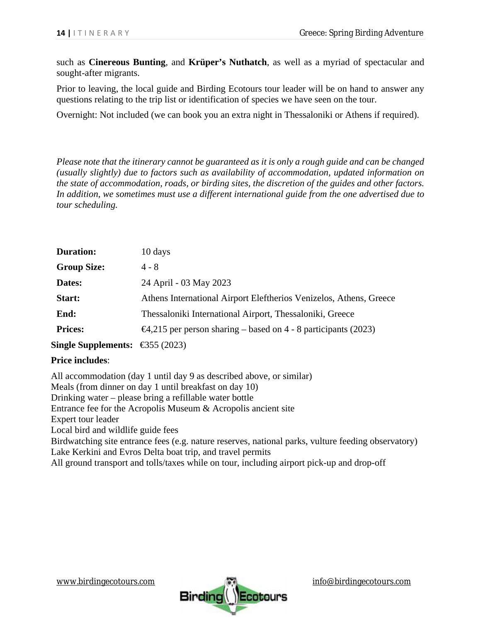such as **Cinereous Bunting**, and **Krüper's Nuthatch**, as well as a myriad of spectacular and sought-after migrants.

Prior to leaving, the local guide and Birding Ecotours tour leader will be on hand to answer any questions relating to the trip list or identification of species we have seen on the tour.

Overnight: Not included (we can book you an extra night in Thessaloniki or Athens if required).

*Please note that the itinerary cannot be guaranteed as it is only a rough guide and can be changed (usually slightly) due to factors such as availability of accommodation, updated information on the state of accommodation, roads, or birding sites, the discretion of the guides and other factors. In addition, we sometimes must use a different international guide from the one advertised due to tour scheduling.* 

| <b>Duration:</b>                          | 10 days                                                                |
|-------------------------------------------|------------------------------------------------------------------------|
| <b>Group Size:</b>                        | $4 - 8$                                                                |
| Dates:                                    | 24 April - 03 May 2023                                                 |
| Start:                                    | Athens International Airport Eleftherios Venizelos, Athens, Greece     |
| End:                                      | Thessaloniki International Airport, Thessaloniki, Greece               |
| <b>Prices:</b>                            | $\Theta$ , 215 per person sharing – based on 4 - 8 participants (2023) |
| Single Supplements: $\bigoplus$ 55 (2023) |                                                                        |

#### **Price includes**:

All accommodation (day 1 until day 9 as described above, or similar) Meals (from dinner on day 1 until breakfast on day 10) Drinking water – please bring a refillable water bottle Entrance fee for the Acropolis Museum & Acropolis ancient site Expert tour leader Local bird and wildlife guide fees Birdwatching site entrance fees (e.g. nature reserves, national parks, vulture feeding observatory) Lake Kerkini and Evros Delta boat trip, and travel permits All ground transport and tolls/taxes while on tour, including airport pick-up and drop-off